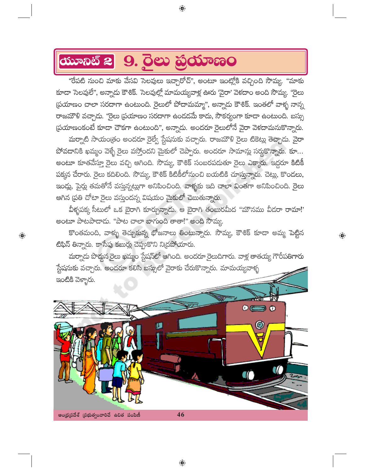## **ANDRE 2 9. DEU @OUDEDO**

"రేపటి నుంచి మాకు వేసవి సెలవులు ఇచ్చారోచ్", అంటూ ఇంట్లోకి వచ్చింది సౌమ్య. "మాకు కూడా సెలవులే", అన్నాదు కౌశిక్. సెలవుల్లో మామయ్యవాళ్ల ఊరు 'వైరా' వెళదాం అంది సౌమ్య. ''రైలు స్రయాణం చాలా సరదాగా ఉంటుంది. రైలులో పోదామమ్మా", అన్నాదు కౌశిక్. ఇంతలో వాళ్ళ నాన్న రాజమౌళి వచ్చాడు. ''రైలు ప్రయాణం సరదాగా ఉండడమే కాదు, సౌకర్యంగా కూడా ఉంటుంది. బస్సు స్రయాణంకంటే కూడా చౌకగా ఉంటుంది", అన్నాదు. అందరూ రైలులోనే వైరా వెళదామనుకొన్నారు.

 $\bigoplus$ 

మర్నాటి సాయం[తం అందరూ రైల్వే స్టేషనుకు వచ్చారు. రాజమౌళి రైలు టికెట్లు తెచ్చాదు. వైరా పోవదానికి ఖమ్మం వెళ్ళే రైలు వస్తోందని మైకులో చెప్పారు. అందరూ సామాన్లు సర్దకొన్నారు. కూ... అంటూ కూతవేస్తూ రైలు వచ్చి ఆగింది. సౌమ్య, కౌశిక్ సంబరపదుతూ రైలు ఎక్కారు. ఇద్దరూ కిటికీ పక్కన చేరారు. రైలు కదిలింది. సౌమ్య, కౌశిక్ కిటికీలోనుంచి బయటికి చూస్తున్నారు. చెట్లు, కొండలు, ఇండ్లు, పైర్లు తమతోనే వస్తున్నట్లుగా అనిపించింది. వాళ్ళకు ఇది చాలా వింతగా అనిపించింది. రైలు ఆగిన (పతి చోటా రైలు వస్తుందన్న విషయం మైకులో చెబుతున్నారు.

వీళ్ళపక్క సీటులో ఒక బైరాగి కూర్చున్నాడు. ఆ బైరాగి తంబురమీద "మౌనము వీదరా రామా!' అంటూ పాటపాదాడు. "పాట చాలా బాగుంది తాతా!" అంది సౌమ్య.

కొంతమంది, వాళ్ళు తెచ్చుకున్న భోజనాలు తింటున్నారు. సౌమ్య, కౌశిక్ కూడా అమ్మ పెట్టిన టిఫిన్ తిన్నారు. కాసేపు కబుర్లు చెప్పుకొని నిద్రపోయారు.

 $\textcolor{black}{\textcolor{black}{\bigoplus}}$ 

 $\bigoplus$ 

మర్నాదు పొద్దన రైలు ఖమ్మం స్టేషన్లో ఆగింది. అందరూ రైలుదిగారు. వాళ్ల తాతయ్య గౌరీపతిగారు స్టేషనుకు వచ్చారు. అందరూ కలిసి బస్సులో వైరాకు చేరుకొన్నారు. మామయ్యవాళ్ళ ఇంటికి వెళ్ళారు.

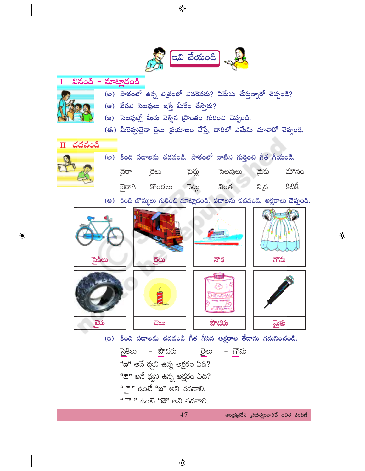

## వినండి – మాట్లాదండి

- (అ) పాఠంలో ఉన్న చిత్రంలో ఎవరెవరు? ఏమేమి చేస్తున్నారో చెప్పండి?
- (**ఆ**) వేసవి సెలవులు ఇస్తే మీరేం చేస్తారు?
- (ఇ) సెలవుల్లో మీరు వెళ్ళిన (పాంతం గురించి చెప్పండి.
- (ఈ) మీరెప్పుడైనా రైలు (పయాణం చేస్తే, దారిలో ఏమేమి చూశారో చెప్పండి.



 $\bigoplus$ 

(అ) కింది పదాలను చదవండి. పాఠంలో వాటిని గుర్తించి గీత గీయండి. సెలవులు వైరా పైర్లు మౌనం ್ದರಿಲು మైకు දීඪිජ ವಟ್ಣು వింత ని(ద కొండలు ್ಲಾರ್

(ఆ) కింది బొమ్మలు గురించి మాట్లాడండి. పదాలను చదవండి. అక్షరాలు చెప్పండి.



సైకిలు – పౌడరు రైలు – గౌను "ఐ" అనే ధ్వని ఉన్న అక్షరం ఏది? "ఔ" అనే ధ్వని ఉన్న అక్షరం ఏది? " - " ఉంటే "ఐ" అని చదవాలి. <u>" ా " ఉం</u>టే <mark>"ఔ"</mark> అని చదవాలి.

```
ఆంధ్రప్రదేశ్ (పభుత్వంవారిచే ఉచిత పంపిణీ
```
 $\bigoplus$ 

47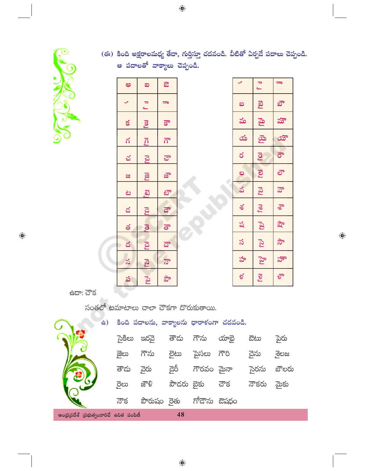

 $\bigoplus$ 

(ఈ) కింది అక్షరాలమధ్య తేదా, గుర్తిస్తూ చదవండి. వీటితో ఏర్పదే పదాలు చెప్పండి. .<br>ఆ పదాలతో వాక్యాలు చెప్పండి.

| అ                  | $\infty$                | ಔ                        |   |
|--------------------|-------------------------|--------------------------|---|
| $\checkmark$       | $\frac{1}{\sqrt{2}}$    | $\overline{\phantom{1}}$ |   |
| $\leq$             |                         | $\mathbf{S}^{\bullet}$   |   |
| $\frac{1}{\alpha}$ | $\overline{\mathbf{g}}$ | $\vec{a}$                |   |
| చ                  | <mark>ra</mark>         | ವೌ                       |   |
| æ                  | <b>B</b>                | జౌ                       |   |
|                    | <u>යි</u>               | <u>టా</u>                |   |
| $\frac{8}{1}$      | $\mathbb{Z}^d$          | $\overline{a}$           |   |
| 18                 | <b>P</b><br>al          |                          |   |
| $\frac{8}{1}$      |                         | $\overline{a}$           | ٠ |
|                    | Lon Ical Ical           | $\vec{a}$                |   |
| $\frac{3}{5}$      |                         | <u>ਹ</u> ੋ               |   |
|                    |                         |                          |   |

|     |                       | ಶಾ   |  |  |
|-----|-----------------------|------|--|--|
| ಐ   | <b>P</b> <sub>2</sub> | ಭೌ   |  |  |
| మ   | <u>ತ</u> ್ರ           | హ    |  |  |
| య   | <u>ය</u> ා            | ಯೌ   |  |  |
| ర   | $\overline{Q}$        | ಕೌ   |  |  |
| ల   | ව                     | లా   |  |  |
| వ   | rga                   | ಫೌ   |  |  |
| శ   | <b>Lou</b>            | శా   |  |  |
| ష   | $\mathbb{R}^1$        | షౌ   |  |  |
| స   | <b>P<sub>2</sub>J</b> | సౌ   |  |  |
| హ   | ్తా                   | హౌ   |  |  |
| ళ్ల | Pogl                  | ళ్రా |  |  |

 $\bigoplus$ 

 $\frac{1}{6}$ ದ್: ಪೌ $\frac{1}{6}$ 

సంతలో టమాటాలు చాలా చౌకగా దొరుకుతాయి.

| <b>台)</b>                               |        |             |            |             | కింది పదాలను, వాక్యాలను ధారాకంగా చదవండి. |       |        |
|-----------------------------------------|--------|-------------|------------|-------------|------------------------------------------|-------|--------|
|                                         | సైకిలు | පුරුධි      | తౌదు       | గౌను        | యాభై                                     | ಔಟು   | ్థెురు |
|                                         | ౙైలు   | గౌను        | මිහා       | పైసలు గౌరి  |                                          | చైను  | ್ತತಲಜ  |
|                                         | తౌదు   | ్లైన        | దేర్,      | గౌరవం మైనా  |                                          | సైరను | బౌలరు  |
|                                         | ్ధెలు  | జ్దౌళ్లి    | పౌదరు బైకు |             | . చౌక                                    | నౌకరు | మైకు   |
|                                         | నౌక    | పౌరుషం రైతు |            | గోదౌను ఔషధం |                                          |       |        |
| అంధ్రప్రదేశ్ (పభుత్వంవారిచే ఉచిత పంపిణీ |        |             | 48         |             |                                          |       |        |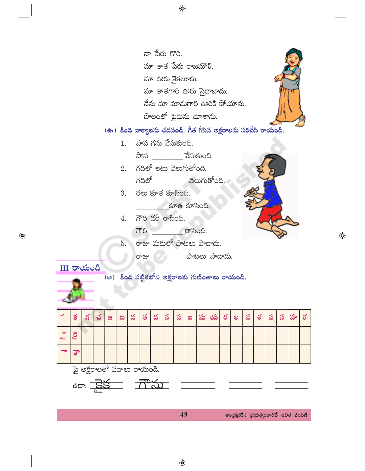నా పేరు గౌరి. మా తాత పేరు రాజమౌళి. మా ఊరు కైకలూరు. మా తాతగారి ఊరు సైదాబాదు. నేను మా మామగారి ఊరికి పోయాను. పొలంలో పైరును చూశాను.

## (ఊ) కింది వాక్యాలను చదవండి. గీత గీసిన అక్షరాలను సరిచేసి రాయండి.

- $1.$  పాప గను వేసుకుంది. పాప \_\_\_\_\_\_\_\_\_ వేసుకుంది.
- $2.$  గదిలో లటు వెలుగుతోంది. గదిలో - వెలుగుతోంది.
- $3.$  రలు కూత కూసింది.
	- కూత కూసింది.
- 4. గౌరి డరీ రాసింది.
	- గౌరి రాసింది.
- 5. రాజు మకులో పాటలు పాదాడు.
	- တား ေတြကို ေတြကို ဆိုပါတယ္ ဆိုထားထိုး

III రాయండి

 $\bigoplus$ 

## (అ) కింది పట్టికలోని అక్షరాలకు గుణింతాలు రాయండి.



 $\bigoplus$ 



 $\bigoplus$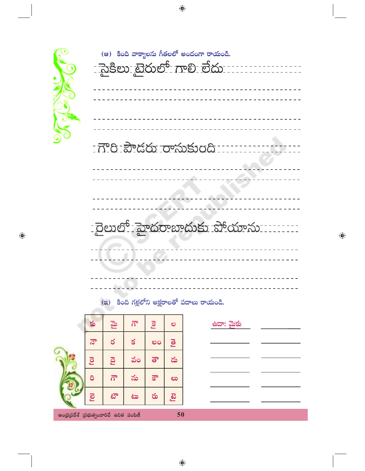

 $\bigoplus$ 

|  | (ఆ) కింది వాక్యాలను గీతలలో అందంగా రాయండి.<br><u> - సైక్రిలు బైరులో గాలి లేదు - - - - - - - - - - - - - - - - - -</u> |  |  |
|--|----------------------------------------------------------------------------------------------------------------------|--|--|
|  |                                                                                                                      |  |  |
|  |                                                                                                                      |  |  |
|  | $\mathcal{L} = \mathcal{L} \times \mathcal{L} = \mathcal{L} \times \mathcal{L}$                                      |  |  |

 $\bigoplus$ 



| కు                                            | <u>ය</u> ා | $\vec{\Omega}^{\circ}$ | Pool      | ల         | ఉదా: మైకు |  |  |  |
|-----------------------------------------------|------------|------------------------|-----------|-----------|-----------|--|--|--|
| $\vec{a}$                                     | ర          | $\leq$                 | ಲಂ        | ු         |           |  |  |  |
| <b>D</b>                                      | <b>D</b>   | వం                     | $\vec{e}$ | డు        |           |  |  |  |
| $\delta$                                      | $\vec{a}$  | ను                     | $\vec{S}$ | ಲು        |           |  |  |  |
| ව                                             | టౌ         | ಟು                     | రు        | <u>ကြ</u> |           |  |  |  |
|                                               |            |                        |           |           |           |  |  |  |
| 50<br>ఆంధ్రప్రదేశ్ (పభుత్వంవారిచే ఉచిత పంపిణీ |            |                        |           |           |           |  |  |  |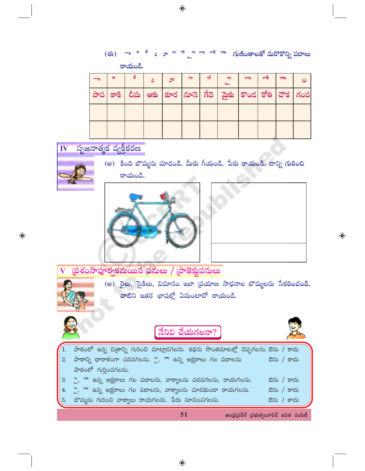|     | മ | ಿ | ూ |  |                                                                                                                                       | ြ | ⇔് | $\overline{\phantom{a}}$ |  |
|-----|---|---|---|--|---------------------------------------------------------------------------------------------------------------------------------------|---|----|--------------------------|--|
| పాప |   |   |   |  | $\mid$ కాకి $\mid$ చీమ $\mid$ అకు $\mid$ కూర $\mid$ నూనె $\mid$ గేదె $\mid$ మైకు $\mid$ కొండ $\mid$ కోతి $\mid$ చౌక $\mid$ గంప $\mid$ |   |    |                          |  |
|     |   |   |   |  |                                                                                                                                       |   |    |                          |  |
|     |   |   |   |  |                                                                                                                                       |   |    |                          |  |





(అ) కింది బొమ్మను చూడండి. మీరు గీయండి. పేరు రాయండి. దాన్ని గురించి రాయండి.





⊕

- ప్రశంసాపూర్వకమయిన పనులు / ప్రాజెక్టుపనులు
	- (అ) రైలు, సైకిలు, విమానం ఇలా (పయాణ సాధనాల బొమ్మలను సేకరించండి. వాటిని ఇతర భాషల్లో ఏమంటారో రాయండి.



 $\bigoplus$ 

 $\bigoplus$